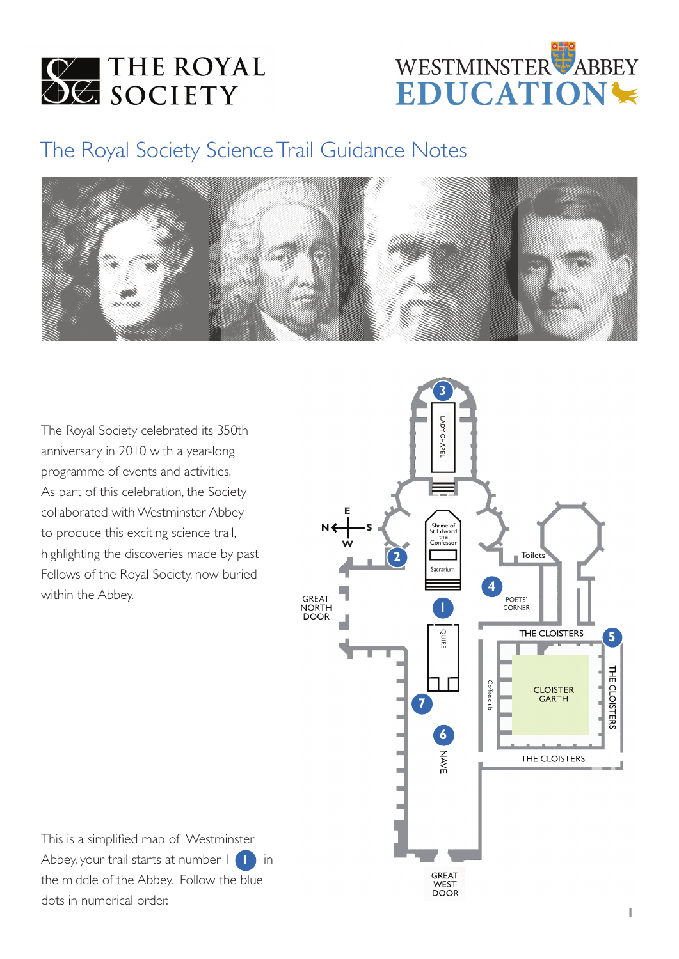**WE THE ROYAL** 



# The Royal Society Science Trail Guidance Notes



The Royal Society celebrated its 350th anniversary in 2010 with a year-long programme of events and activities. As part of this celebration, the Society collaborated with Westminster Abbey to produce this exciting science trail, highlighting the discoveries made by past Fellows of the Royal Society, now buried within the Abbey.



This is a simplified map of Westminster Abbey, your trail starts at number  $1$  **1** in the middle of the Abbey. Follow the blue dots in numerical order.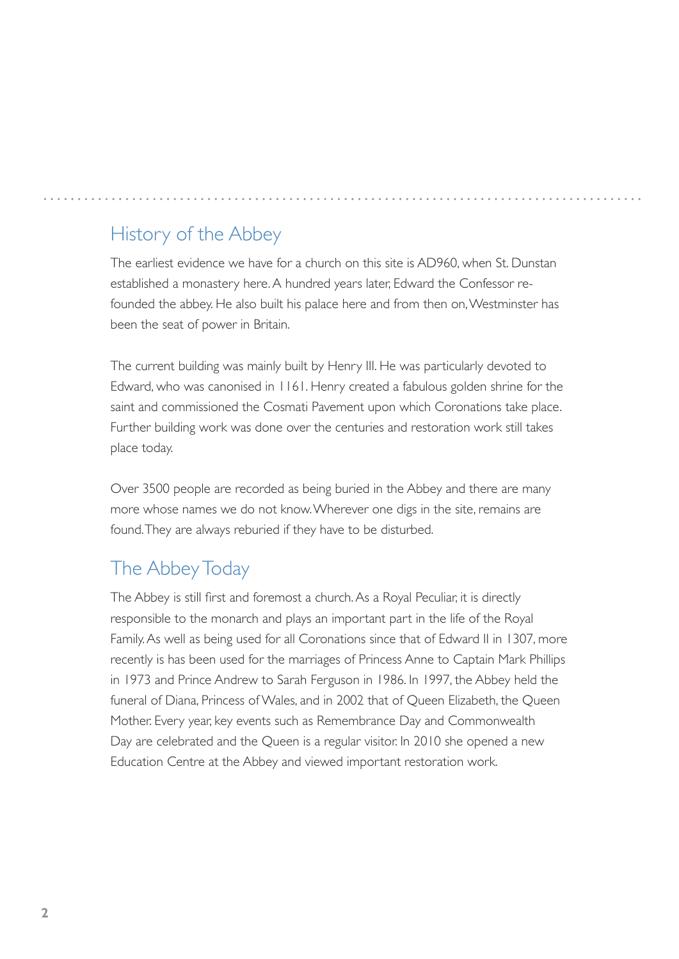# History of the Abbey

The earliest evidence we have for a church on this site is AD960, when St. Dunstan established a monastery here. A hundred years later, Edward the Confessor refounded the abbey. He also built his palace here and from then on, Westminster has been the seat of power in Britain.

The current building was mainly built by Henry III. He was particularly devoted to Edward, who was canonised in 1161. Henry created a fabulous golden shrine for the saint and commissioned the Cosmati Pavement upon which Coronations take place. Further building work was done over the centuries and restoration work still takes place today.

Over 3500 people are recorded as being buried in the Abbey and there are many more whose names we do not know. Wherever one digs in the site, remains are found. They are always reburied if they have to be disturbed.

# The Abbey Today

The Abbey is still first and foremost a church. As a Royal Peculiar, it is directly responsible to the monarch and plays an important part in the life of the Royal Family. As well as being used for all Coronations since that of Edward II in 1307, more recently is has been used for the marriages of Princess Anne to Captain Mark Phillips in 1973 and Prince Andrew to Sarah Ferguson in 1986. In 1997, the Abbey held the funeral of Diana, Princess of Wales, and in 2002 that of Queen Elizabeth, the Queen Mother. Every year, key events such as Remembrance Day and Commonwealth Day are celebrated and the Queen is a regular visitor. In 2010 she opened a new Education Centre at the Abbey and viewed important restoration work.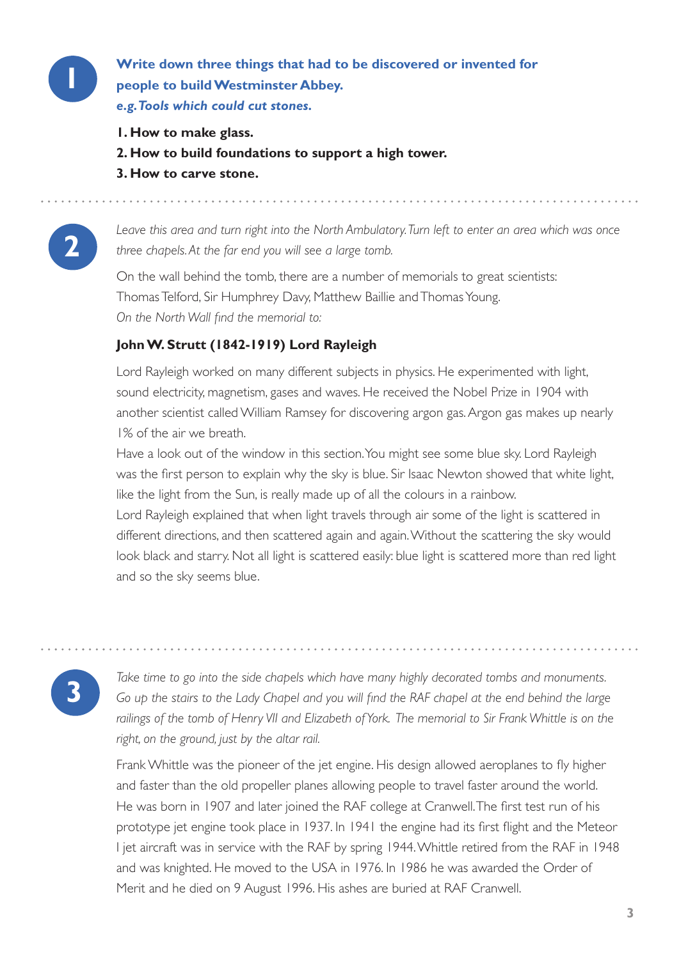

**1 Write down three things that had to be discovered or invented for people to build Westminster Abbey.** *e.g. Tools which could cut stones.*

- **1. How to make glass.**
- **2. How to build foundations to support a high tower.**
- **3. How to carve stone.**



**2** *Leave this area and turn right into the North Ambulatory. Turn left to enter an area which was once three chapels. At the far end you will see a large tomb.*

On the wall behind the tomb, there are a number of memorials to great scientists: Thomas Telford, Sir Humphrey Davy, Matthew Baillie and Thomas Young. *On the North Wall find the memorial to:*

### **John W. Strutt (1842-1919) Lord Rayleigh**

Lord Rayleigh worked on many different subjects in physics. He experimented with light, sound electricity, magnetism, gases and waves. He received the Nobel Prize in 1904 with another scientist called William Ramsey for discovering argon gas. Argon gas makes up nearly 1% of the air we breath.

Have a look out of the window in this section. You might see some blue sky. Lord Rayleigh was the first person to explain why the sky is blue. Sir Isaac Newton showed that white light, like the light from the Sun, is really made up of all the colours in a rainbow.

Lord Rayleigh explained that when light travels through air some of the light is scattered in different directions, and then scattered again and again. Without the scattering the sky would look black and starry. Not all light is scattered easily: blue light is scattered more than red light and so the sky seems blue.

**3** *Take time to go into the side chapels which have many highly decorated tombs and monuments. Go up the stairs to the Lady Chapel and you will find the RAF chapel at the end behind the large*  railings of the tomb of Henry VII and Elizabeth of York. The memorial to Sir Frank Whittle is on the *right, on the ground, just by the altar rail.*

Frank Whittle was the pioneer of the jet engine. His design allowed aeroplanes to fly higher and faster than the old propeller planes allowing people to travel faster around the world. He was born in 1907 and later joined the RAF college at Cranwell. The first test run of his prototype jet engine took place in 1937. In 1941 the engine had its first flight and the Meteor I jet aircraft was in service with the RAF by spring 1944. Whittle retired from the RAF in 1948 and was knighted. He moved to the USA in 1976. In 1986 he was awarded the Order of Merit and he died on 9 August 1996. His ashes are buried at RAF Cranwell.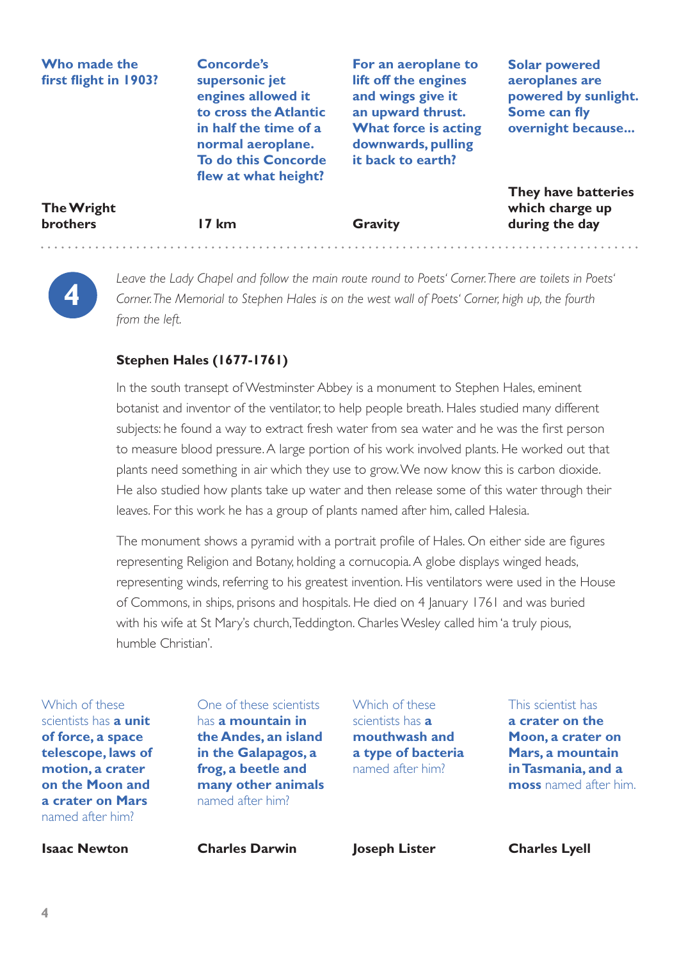### **Who made the first flight in 1903?**

**Concorde's supersonic jet engines allowed it to cross the Atlantic in half the time of a normal aeroplane. To do this Concorde flew at what height?**

**For an aeroplane to lift off the engines and wings give it an upward thrust. What force is acting downwards, pulling it back to earth?**

**Solar powered aeroplanes are powered by sunlight. Some can fly overnight because...**

| <b>The Wright</b> |  |
|-------------------|--|
| <b>brothers</b>   |  |

**17 km**

**Gravity**

**They have batteries which charge up during the day**



**4** *Leave the Lady Chapel and follow the main route round to Poets' Corner. There are toilets in Poets' Corner. The Memorial to Stephen Hales is on the west wall of Poets' Corner, high up, the fourth from the left.* 

### **Stephen Hales (1677-1761)**

In the south transept of Westminster Abbey is a monument to Stephen Hales, eminent botanist and inventor of the ventilator, to help people breath. Hales studied many different subjects: he found a way to extract fresh water from sea water and he was the first person to measure blood pressure. A large portion of his work involved plants. He worked out that plants need something in air which they use to grow. We now know this is carbon dioxide. He also studied how plants take up water and then release some of this water through their leaves. For this work he has a group of plants named after him, called Halesia.

The monument shows a pyramid with a portrait profile of Hales. On either side are figures representing Religion and Botany, holding a cornucopia. A globe displays winged heads, representing winds, referring to his greatest invention. His ventilators were used in the House of Commons, in ships, prisons and hospitals. He died on 4 January 1761 and was buried with his wife at St Mary's church, Teddington. Charles Wesley called him 'a truly pious, humble Christian'.

Which of these scientists has **a unit of force, a space telescope, laws of motion, a crater on the Moon and a crater on Mars**  named after him?

**Isaac Newton**

One of these scientists has **a mountain in the Andes, an island in the Galapagos, a frog, a beetle and many other animals**  named after him?

**Charles Darwin**

Which of these scientists has **a mouthwash and a type of bacteria**  named after him?

This scientist has

**a crater on the Moon, a crater on Mars, a mountain in Tasmania, and a moss** named after him.

**Joseph Lister**

**Charles Lyell**

**4**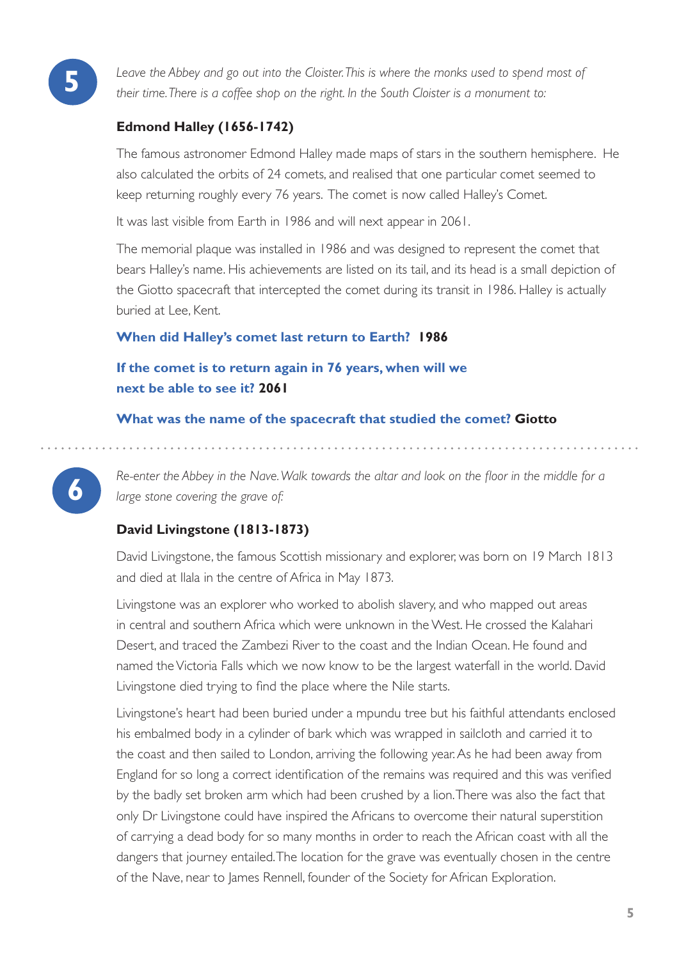

**5** *Leave the Abbey and go out into the Cloister. This is where the monks used to spend most of their time. There is a coffee shop on the right. In the South Cloister is a monument to:*

### **Edmond Halley (1656-1742)**

The famous astronomer Edmond Halley made maps of stars in the southern hemisphere. He also calculated the orbits of 24 comets, and realised that one particular comet seemed to keep returning roughly every 76 years. The comet is now called Halley's Comet.

It was last visible from Earth in 1986 and will next appear in 2061.

The memorial plaque was installed in 1986 and was designed to represent the comet that bears Halley's name. His achievements are listed on its tail, and its head is a small depiction of the Giotto spacecraft that intercepted the comet during its transit in 1986. Halley is actually buried at Lee, Kent.

### **When did Halley's comet last return to Earth? 1986**

### **If the comet is to return again in 76 years, when will we next be able to see it? 2061**

**What was the name of the spacecraft that studied the comet? Giotto**

**6** *Re-enter the Abbey in the Nave. Walk towards the altar and look on the floor in the middle for a large stone covering the grave of:*

### **David Livingstone (1813-1873)**

David Livingstone, the famous Scottish missionary and explorer, was born on 19 March 1813 and died at Ilala in the centre of Africa in May 1873.

Livingstone was an explorer who worked to abolish slavery, and who mapped out areas in central and southern Africa which were unknown in the West. He crossed the Kalahari Desert, and traced the Zambezi River to the coast and the Indian Ocean. He found and named the Victoria Falls which we now know to be the largest waterfall in the world. David Livingstone died trying to find the place where the Nile starts.

Livingstone's heart had been buried under a mpundu tree but his faithful attendants enclosed his embalmed body in a cylinder of bark which was wrapped in sailcloth and carried it to the coast and then sailed to London, arriving the following year. As he had been away from England for so long a correct identification of the remains was required and this was verified by the badly set broken arm which had been crushed by a lion. There was also the fact that only Dr Livingstone could have inspired the Africans to overcome their natural superstition of carrying a dead body for so many months in order to reach the African coast with all the dangers that journey entailed. The location for the grave was eventually chosen in the centre of the Nave, near to James Rennell, founder of the Society for African Exploration.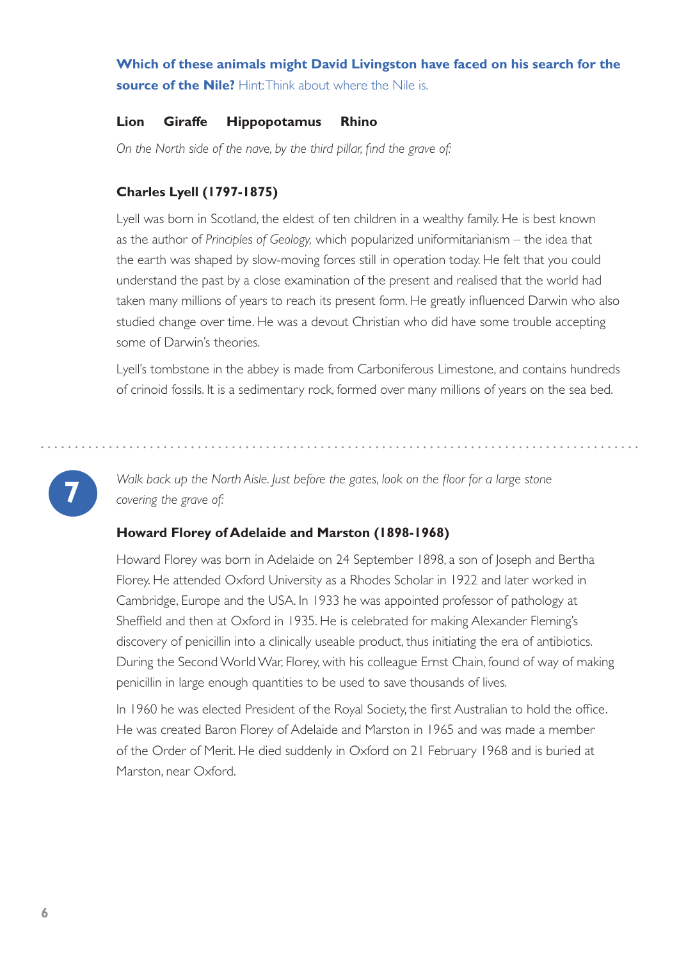### **Which of these animals might David Livingston have faced on his search for the source of the Nile?** Hint: Think about where the Nile is.

### **Lion Giraffe Hippopotamus Rhino**

*On the North side of the nave, by the third pillar, find the grave of:*

### **Charles Lyell (1797-1875)**

Lyell was born in Scotland, the eldest of ten children in a wealthy family. He is best known as the author of *Principles of Geology,* which popularized uniformitarianism – the idea that the earth was shaped by slow-moving forces still in operation today. He felt that you could understand the past by a close examination of the present and realised that the world had taken many millions of years to reach its present form. He greatly influenced Darwin who also studied change over time. He was a devout Christian who did have some trouble accepting some of Darwin's theories.

Lyell's tombstone in the abbey is made from Carboniferous Limestone, and contains hundreds of crinoid fossils. It is a sedimentary rock, formed over many millions of years on the sea bed.

**7** *Walk back up the North Aisle. Just before the gates, look on the floor for a large stone covering the grave of:*

### **Howard Florey of Adelaide and Marston (1898-1968)**

Howard Florey was born in Adelaide on 24 September 1898, a son of Joseph and Bertha Florey. He attended Oxford University as a Rhodes Scholar in 1922 and later worked in Cambridge, Europe and the USA. In 1933 he was appointed professor of pathology at Sheffield and then at Oxford in 1935. He is celebrated for making Alexander Fleming's discovery of penicillin into a clinically useable product, thus initiating the era of antibiotics. During the Second World War, Florey, with his colleague Ernst Chain, found of way of making penicillin in large enough quantities to be used to save thousands of lives.

In 1960 he was elected President of the Royal Society, the first Australian to hold the office. He was created Baron Florey of Adelaide and Marston in 1965 and was made a member of the Order of Merit. He died suddenly in Oxford on 21 February 1968 and is buried at Marston, near Oxford.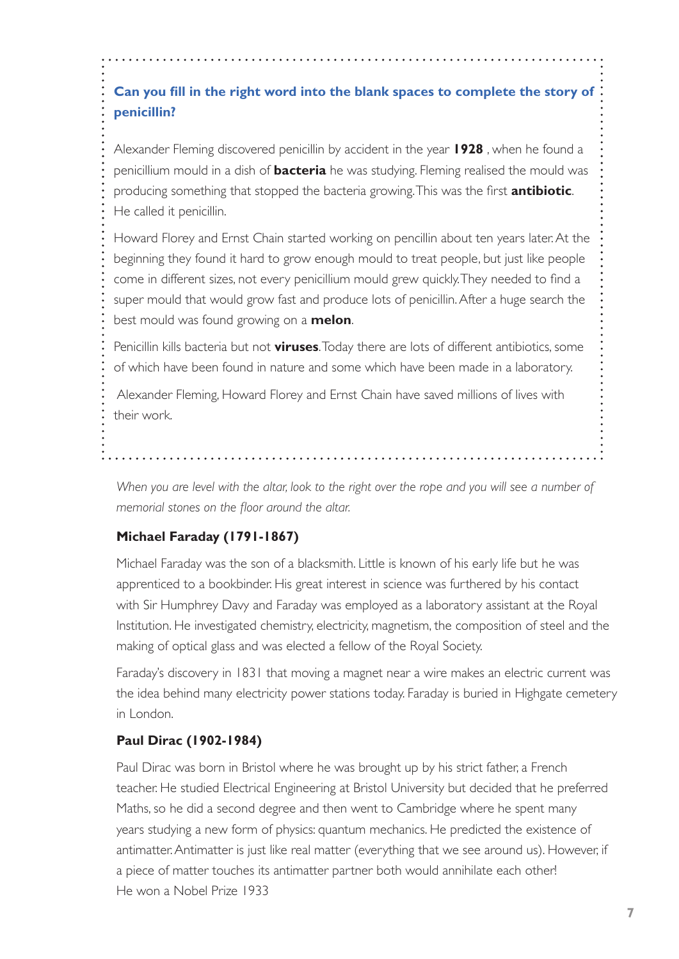## **Can you fill in the right word into the blank spaces to complete the story of penicillin?**

Alexander Fleming discovered penicillin by accident in the year **1928** , when he found a penicillium mould in a dish of **bacteria** he was studying. Fleming realised the mould was producing something that stopped the bacteria growing. This was the first **antibiotic**. He called it penicillin.

Howard Florey and Ernst Chain started working on pencillin about ten years later. At the beginning they found it hard to grow enough mould to treat people, but just like people come in different sizes, not every penicillium mould grew quickly. They needed to find a super mould that would grow fast and produce lots of penicillin. After a huge search the best mould was found growing on a **melon**.

Penicillin kills bacteria but not **viruses**. Today there are lots of different antibiotics, some of which have been found in nature and some which have been made in a laboratory.

 Alexander Fleming, Howard Florey and Ernst Chain have saved millions of lives with their work.

*When you are level with the altar, look to the right over the rope and you will see a number of memorial stones on the floor around the altar.*

### **Michael Faraday (1791-1867)**

Michael Faraday was the son of a blacksmith. Little is known of his early life but he was apprenticed to a bookbinder. His great interest in science was furthered by his contact with Sir Humphrey Davy and Faraday was employed as a laboratory assistant at the Royal Institution. He investigated chemistry, electricity, magnetism, the composition of steel and the making of optical glass and was elected a fellow of the Royal Society.

Faraday's discovery in 1831 that moving a magnet near a wire makes an electric current was the idea behind many electricity power stations today. Faraday is buried in Highgate cemetery in London.

### **Paul Dirac (1902-1984)**

Paul Dirac was born in Bristol where he was brought up by his strict father, a French teacher. He studied Electrical Engineering at Bristol University but decided that he preferred Maths, so he did a second degree and then went to Cambridge where he spent many years studying a new form of physics: quantum mechanics. He predicted the existence of antimatter. Antimatter is just like real matter (everything that we see around us). However, if a piece of matter touches its antimatter partner both would annihilate each other! He won a Nobel Prize 1933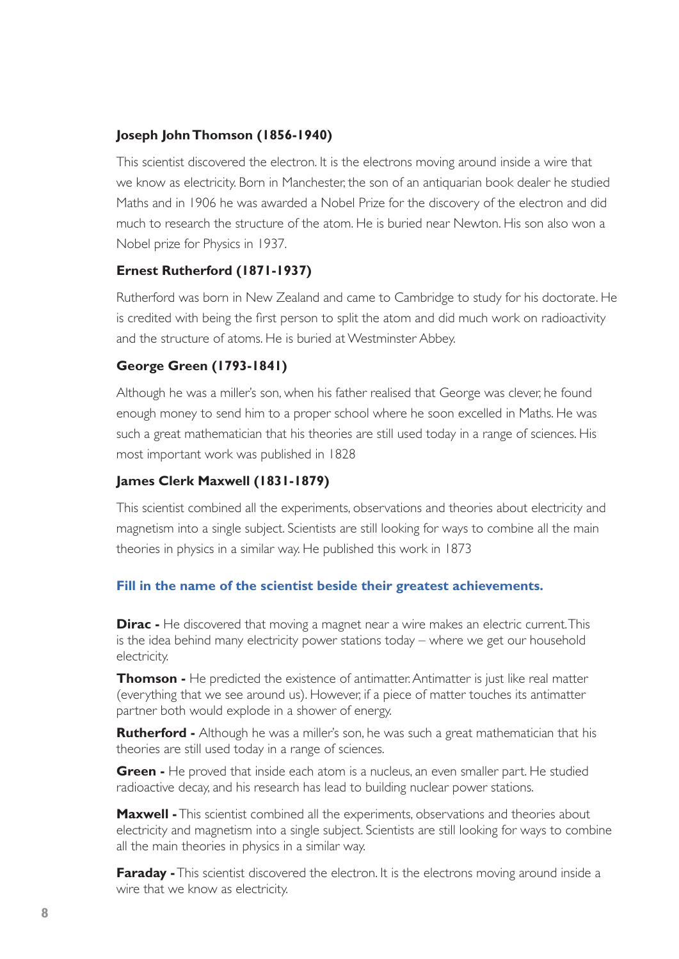### **Joseph John Thomson (1856-1940)**

This scientist discovered the electron. It is the electrons moving around inside a wire that we know as electricity. Born in Manchester, the son of an antiquarian book dealer he studied Maths and in 1906 he was awarded a Nobel Prize for the discovery of the electron and did much to research the structure of the atom. He is buried near Newton. His son also won a Nobel prize for Physics in 1937.

### **Ernest Rutherford (1871-1937)**

Rutherford was born in New Zealand and came to Cambridge to study for his doctorate. He is credited with being the first person to split the atom and did much work on radioactivity and the structure of atoms. He is buried at Westminster Abbey.

### **George Green (1793-1841)**

Although he was a miller's son, when his father realised that George was clever, he found enough money to send him to a proper school where he soon excelled in Maths. He was such a great mathematician that his theories are still used today in a range of sciences. His most important work was published in 1828

### **James Clerk Maxwell (1831-1879)**

This scientist combined all the experiments, observations and theories about electricity and magnetism into a single subject. Scientists are still looking for ways to combine all the main theories in physics in a similar way. He published this work in 1873

### **Fill in the name of the scientist beside their greatest achievements.**

**Dirac** - He discovered that moving a magnet near a wire makes an electric current. This is the idea behind many electricity power stations today – where we get our household electricity.

**Thomson -** He predicted the existence of antimatter. Antimatter is just like real matter (everything that we see around us). However, if a piece of matter touches its antimatter partner both would explode in a shower of energy.

**Rutherford -** Although he was a miller's son, he was such a great mathematician that his theories are still used today in a range of sciences.

**Green -** He proved that inside each atom is a nucleus, an even smaller part. He studied radioactive decay, and his research has lead to building nuclear power stations.

**Maxwell -** This scientist combined all the experiments, observations and theories about electricity and magnetism into a single subject. Scientists are still looking for ways to combine all the main theories in physics in a similar way.

**Faraday -** This scientist discovered the electron. It is the electrons moving around inside a wire that we know as electricity.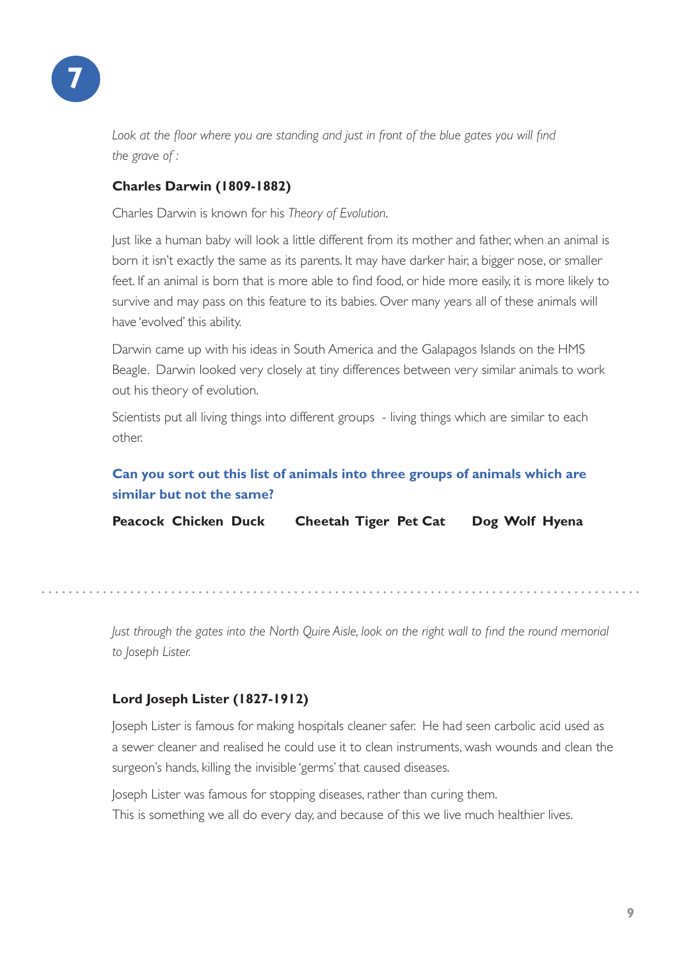

Look at the floor where you are standing and just in front of the blue gates you will find *the grave of :*

### **Charles Darwin (1809-1882)**

Charles Darwin is known for his *Theory of Evolution*.

Just like a human baby will look a little different from its mother and father, when an animal is born it isn't exactly the same as its parents. It may have darker hair, a bigger nose, or smaller feet. If an animal is born that is more able to find food, or hide more easily, it is more likely to survive and may pass on this feature to its babies. Over many years all of these animals will have 'evolved' this ability.

Darwin came up with his ideas in South America and the Galapagos Islands on the HMS Beagle. Darwin looked very closely at tiny differences between very similar animals to work out his theory of evolution.

Scientists put all living things into different groups - living things which are similar to each other.

### **Can you sort out this list of animals into three groups of animals which are similar but not the same?**

**Peacock Chicken Duck Cheetah Tiger Pet Cat Dog Wolf Hyena**

*Just through the gates into the North Quire Aisle, look on the right wall to find the round memorial to Joseph Lister.*

### **Lord Joseph Lister (1827-1912)**

Joseph Lister is famous for making hospitals cleaner safer. He had seen carbolic acid used as a sewer cleaner and realised he could use it to clean instruments, wash wounds and clean the surgeon's hands, killing the invisible 'germs' that caused diseases.

Joseph Lister was famous for stopping diseases, rather than curing them. This is something we all do every day, and because of this we live much healthier lives.